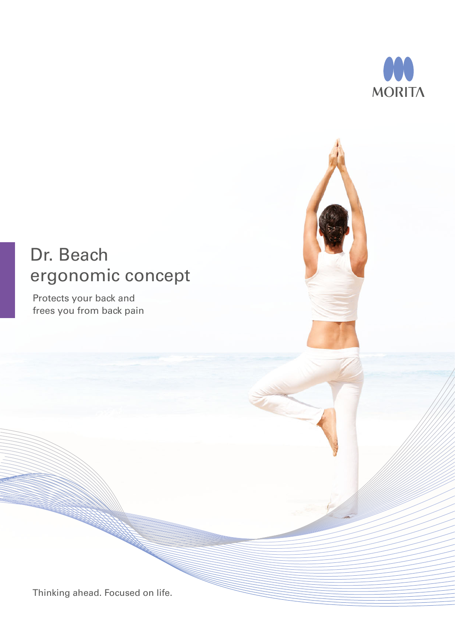

#### Dr. Beach ergonomic concept

Protects your back and frees you from back pain

Thinking ahead. Focused on life.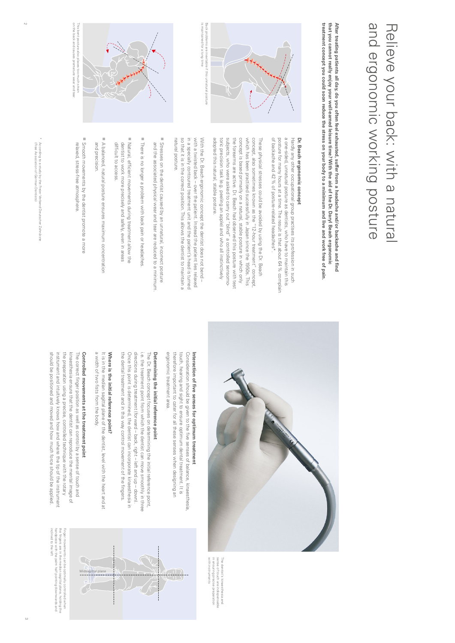# and ergonomic working posture Relieve your back: with a natural and ergonomic working posture Relieve your back: with a natural

treatment concept you could soon reduce the stress on your body to a minimum and live and work free of pain. After treating patients all day, do you often feel exhausted, suffer from a headache and/or backache and find<br>ther treating patients all day, do you often feel exhausted, suffer from a headache and/or backache and find **treatment concept you could soon reduce the stress on your body to a minimum and live and work free of pain. that you cannot really enjoy your well-earned leisure time? With the aid of the Dr. Daryl Beach ergonomic After treating patients all day, do you often feel exhausted, suffer from a headache and/or backache and fi**



is maintained for a long time Back problems are inevitable if this unnatural posture is maintained for a long time Back problems are inevitable if this unnatural posture



This bent posture also places too much strain<br>on the back and causes premature wear and tear lins bent posture also places too much strain<br>on the back and causes premature wear and tear<br>on the back and causes premature wear and tear

#### Dr. Beach ergonomic concept **Dr. Beach ergonomic concept**

of backache and 42 % of posture-related headaches\* a one-sided, unnatural posture as dentists, who have to maintain this posture for many hours at a time. The result is that about 64% complain Hardly any other occupational group practises its profession in such of backache and 42 % of posture-related headaches\*. posture for many hours at a time. The result is that about 64 % complain a one-sided, unnatural posture as dentists, who have to maintain this Hardly any other occupational group practises its profes sion in such

concept, also sometimes known as the "12-hour treatment" concept adopted this natural, stable posture. subjects, who were asked to carry out "blind" a controlled sensomothe forearms are active. Dr. Beach had observed this posture with test concept is based primarily on a natural, stable posture in which only adopted this natural, stable posture. toric precision task (e.g. peeling an apple) and who all instinctively toric precision task (e.g. peeling an apple) and who all instinctively subjects, who were asked to carry out "blind" a controlled sen somothe forearms are ac concept is based primarily on a natural, stable posture in which only which has been practised successfully in Japan since the 1950s. This which has been practised successfully in Japan since the 1950s. This concept, also sometimes known as the "12-hour treatment" concept, These physical stresses could be avoided by using the Dr. Beach These physical stresses could be avoided by using the Dr. Beach tive. Dr. Beach had observed this posture with test

uarial posture with a twisted back - over the patient. Instead the patient lies relaxed so that it is in the correct position. This allows the dentist to maintain a in a specially contoured treatment unit and the patient's head is turned With the Dr. Beach ergonomic concept the dentist does not bend natural posture. so that it is in the correct posi in a specially contoured treatment unit and the patient's head is turned with a twisted back – over the patient. Instead the pa With the Dr. Beach ergonomic concept the dentist does not bend – tion. This allows the dentist to maintain a tient lies relaxed

- Stresses on the dentist caused by an unnatural, incorrect posture and the associated physical wear and tear are reduced to a minimum and the associated physical wear and tear are reduced to a minimum. Stresses on the dentist caused by an unnatural, incorrect posture
- There is no longer a problem with back pain or headaches There is no longer a problem with back pain or headaches.
- Natural, efficient movements during treatment allow the difficult to access dentist to work more precisely and safely, even in areas dentist to work more precisely and safely, even in areas Natural, effi cient movements during treatment allow the cult to access.
- A balanced, natural posture ensures maximum concentration and precision. and precision. A balanced, natural posture ensures maximum concentration
- Smooth movements by the dentist promote a more relaxed, stress-tree atmosphere Smooth movements by the dentist promote a more

\* According to a study by the Freier Verband Deutscher Zahnärzte According to a study by the Freier Verband Deutscher Zahnärzte<br>(Free Association of German Dentists) (Free Association of German Dentists)



The dentist's kinaesthesia and<br>sense of touch are indispensable<br>in ensuring precise preparation<br>with instruments with instruments in ensuring precise preparation sense of touch are indispensable The dentist's kinaesthesia and

# Interaction of five senses for optimum treatment Interaction of five senses for optimum treatment

ergonomic treatment area. therefore important to cater for all these senses when designing an touch, hearing and sight to ensure optimum dental treatment. It is Consideration should be given to the five senses of balance, kinaesthesia ergonomic treatment area. therefore important to cater for all these senses when designing an touch, hearing and sight to ensure optimum dental treatment. It is Consideration should be given to the fi ve senses of bal ance, kin aesthesia,

## Determining the initial reference point **Determining the initial reference point**

the dental treatment and in this way control movement of the fingers. Once this point is determined, the dentist can incorporate kinaesthesia in directions during treatment (forward - back, right - left and up - down). i.e. the treatment point from which the dentist can move smoothly in three The Dr. Beach concept focuses on determining the initial reference point, the dental treatment and in this way control movement of the fi ngers. Once this point is determined, the dentist can incorporate kinaes directions during treatment (forward – back, right – left and up – down). i.e. the treatment point from which the dentist can move smoothly in three The Dr. Beach concept focuses on determining the initial re ference point, the sia in

## Where is the initial reference point? **Where is the initial reference point?**

a width of two fists from the body. It is in the median sagittal plane of the dentist, level with the heart and at a width of two fi It is in the median sagittal plane of the dentist, level with the heart and at sts from the body.

# Controlled movements at the treatment point **Controlled movements at the treatment point**

should be positioned and moved and how much force should be applied instrument and intuitively knows how and where the tip of the instrument the preparation using a precise, controlled technique with the rotary kinaesthesia ensure that the dentist can reproduce the mental image of In the correct finger position as well as control by a sense of touch and should be positioned and moved and how much force should be applied. instrument and intui tively knows how and where the tip of the instrument the preparation using a precise, controlled technique with the rotary kinaesthesia ensure that the dentist can reproduce the mental image of The correct fi nger position as well as control by a sense of touch and



Finger movements can be optimally controlled when<br>the final property with the median segittal plane, holding the<br>hardbiece with the parm half pointing downwards and<br>inclined to the left Finger movements can be optimally controlled when ngers are in the median sagittal plane, holding the inclined to the left handpiece with the palm half pointing downwards and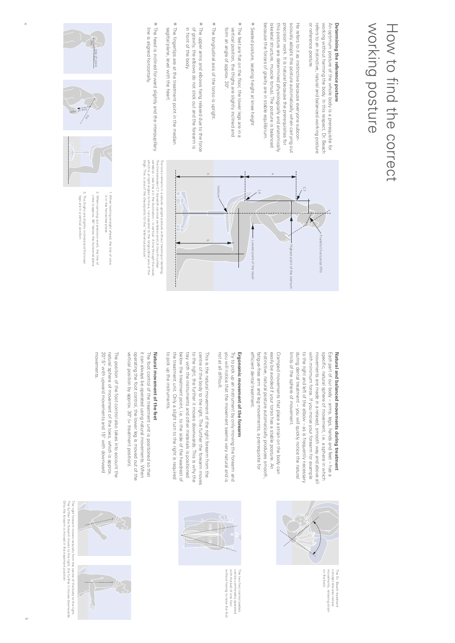### working posture How to find the correct working posture How to find the correct

### Determining the reference posture **Determining the reference posture**

or reference posture refers to an instinctive, natural and balanced working posture working without harming the body. In this respect, Dr. Beach An optimum posture of the whole body is a prerequisite for or reference posture. working without harming the body. In this respect, Dr. Beach An optimum posture of the whole body is a prerequisite for refers to an instinctive, natural and balanced working posture

(skeletal structure, muscle tonus). The posture is balanced this posture are determined physiologically and anatomically precision work. It is natural because the prerequisites for sciously adopts this posture automatically when carrying out because the forces of gravity are in stable equilibrium. this posture are determined physiologically and ana sciously adopts this posture automatically when carrying out He refers to it as instinctive because everyone subconbecause the forces of gravity are in stable equi (skeletal structure, muscle tonus). The posture is balanced precision work. It is natural because the prerequisites for He refers to it as instinctive because everyone subcon-

- Seated posture, seating height at knee height Seated posture, seating height at knee height
- form an angle of approx. 30°. vertical position, the thighs are slightly inclined and The feet are flat on the floor, the lower legs are in a form an angle of approx. 30°. verti cal position, the thighs are slightly inclined and The feet are flat on the floor, the lower legs are in a
- The longitudinal axis of the torso is upright. The longitudinal axis of the torso is upright.
- The upper arms and elbows hang relaxed due to the force<br>
of gravity, the elbows do not stick out and the forearm is in front of the body. in front of the body. of gravity, the elbows do not stick out and the forearm is The upper arms and elbows hang relaxed due to the force
- The fingertips are at the treatment point in the median sagittal plane, level with the heart sagittal plane, level with the heart. The fingertips are at the treatment point in the median
- The head is inclined forward slightly and the interpupillary line is aligned horizontally. line is aligned horizontally. The head is inclined forward slightly and the interpupillary



The line between C7 is easing corridor versions and L4 (houring unbeing<br>The line between C7 is easing under the corridor of the final properties of the properties of the version of t<br>wertheles — see line a in the illustra thigh. This is one of the checkpoints for the "reference posture" which is at right angles to line a, runs parallel to the longitudinal axis of the vertebra) – see line a in the illustration – is vertical. A line through the navel, The line between C7 (seventh cervical vertebra) and L4 (fourth lumbar The torso remains in a natural upright posture without twisting or bending.

1. When looking straight ahead, the line of view 2. When carrying out precision work, the line of 1. When looking straight ahead, the line of view is in the horizontal plane is in the horizontal plane

3. The thighs are slightly inclined and the lower The thighs are slightly inclined and the lower<br>legs are in a vertical position legs are in a vertical position

2. When carrying out precision work, the line of<br>view is approx. 80° below the horizontal plane view is approx. 80° below the horizontal plane

FH line of view

File of View

specific, natural sphere of movement, i.e. a sphere in which Each part of our body - arms, legs, hands and feet - has a Natural and balanced movements during treatment Each part of our body – arms, legs, hands and feet – has a **Natural and balanced movements during treatment** c, natural sphere of movement, i.e. a sphere in which

limits of the sphere of movement. during dental treatment - you will quickly notice the natural to the right and left of the elbow - as is frequently necessary with minimum force. If you move your forearm for example movements are made in a relaxed, smooth way and above all limits of the sphere of movement. during dental treatment – you will quickly notice the natural to the right and left of the elbow – as is frequently necessary with minimum force. If you move your forearm for ex movements are made in a relaxed, smooth way and above all

efficient dental treatment tatigue-free arm and leg movements, a prerequisite for instinctive, natural posture automatically produces smooth easily be avoided if your torso has a stable posture. An Cramped movements that place a strain on the body can fatigue-free arm and leg movements, a prerequisite for instinctive, na easily be avoided if your torso has a stable posture. An Cramped movements that place a strain on the body can cient dental treat ment. tural posture automatically produces smooth,

## Ergonomic movement of the forearm **Ergonomic movement of the forearm**

not at all difficult. Try to pick up an instrument by only moving the forearm and not at all diffi you will notice that the movement seems very natural and is you will notice that the movement seems very natural and is Try to pick up an instrument by only moving the forearm and

centre of the body to the right. The further the forearm moves<br>to the right, the further it moves downwards. This is why the to pick up the instruments. the treatment unit. Only a slight turn to the right is required below the treatment point, i.e. to the side of the headrest of tray with the instruments and other materials is positioned to pick up the instruments. the treatment unit. Only a slight turn to the right is required below the treatment point, i.e. to the side of the headrest of tray with the instruments and other materials is positioned to the right, the further it moves downwards. This is why the centre of the body to the right. The further the forearm moves This is the natural movement of the right forearm from the This is the natural movement of the right forearm from the

#### Natural movement of the feet **Natural movement of the feet**

vertical position by approx. 30° (= treatment position). operating the toot control, the lower leg is moved out of the it can always be operated using natural movements. When The foot control of the treatment unit is positioned so that vertical position by approx. 30° (= treatment position). it can always be operated using natural movements. When The foot control of the treatment unit is positioned so that ating the foot control, the lower leg is moved out of the

movements 20°:5° with upward movements and 15° with downward natural sphere of movement of the toes, which is approx movements. 20°:5° with upward movements and 15° with downward natural sphere of movement of the toes, which is approx. The position of the foot control also takes into account the The position of the foot control also takes into account the



The Dr. Beach treatment<br>concept ensures natural<br>movements, relieving strain<br>on the back on the back movements, re concept ensures natural The Dr. Beach treatment lieving strain



The two foot control pedals<br>can be comfortably operated<br>with the ball of one foot<br>without having to raise the foot without having to raise the foot with the ball of one foot can be comfortably operated The two foot control pedals



The right forearm moves naturally from the centre of the body to the right.<br>The further the forearm moves to the right, the further it moves downwards<br>Only the forearm is moved in the treatment position Only the forearm is moved in the treatment position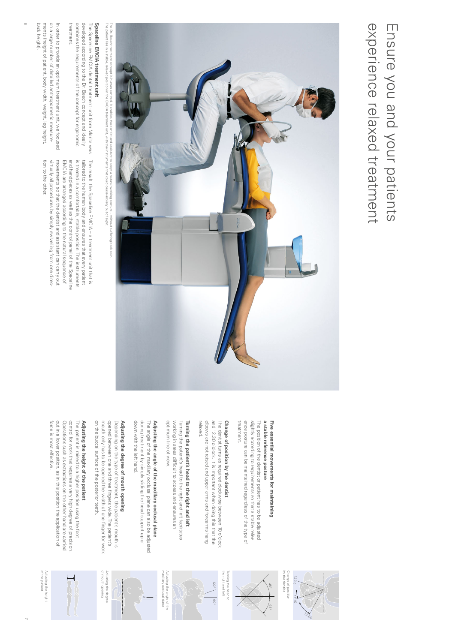# experience relaxed treatment Ensure you and your patients experience relaxed treatment Ensure you and your patients



The Dr. Beach treatment concept i<br>The patient lies in a stable, relaxed The patient lies in a stable, relaxed position in the EMCIA treatment unit, with the instruments that could cause anxiety out of sight The Dr. Beach treatment concept is human centred. It enables the dentist and assistant to adopt a natural working posture – without suffering back pain. i Idani **AUTISAIOR** otherer and assistant to with the inst natural working posture – without suffering back pain.<br>It could cause anxiety out of sight

#### Spaceline EMCIA treatment unit **Spaceline EMCIA treatment unit**

combines the requirements of the concept for ergonomic developed according to the Dr. Beach concept and ideally treatment treatment. combines the requirements of the concept for ergonomic The Spaceline EMCIA dental treatment unit from Morita was The Spaceline EMCIA dental treatment unit from Morita was vel oped according to the Dr. Beach concept and ideally

In order to provide an optimum treatment unit, we focused<br>on a large number of detailed anthropometric measureback height). ments (height of patient, body width, weight, leg height, on a large number of detailed anthropometric measureback height). ments (height of patient, body width, weight, leg height, In order to provide an optimum treatment unit, we focused

> tion to the other. wrtually all procedures by simply swiveling from one direcmovements so that the dentist and assistant can carry out EMCIA are arranged according to the natural sequence of is treated in a comfortable, stable position. The instruments tailored to the human body and ensures that every patient The result: the Spaceline EMCIA - a treatment unit that is and handpieces as well as the control panel of the Spaceline tion to the other. virtually all procedures by simply swivelling from one direcmovements so that the dentist and as EMCIA are arranged according to the natural sequence of and handpieces as well as the control panel of the Spaceline is treated in a comfortable, stable position. The instruments tailored to the human body and ensures that every patient The result: the Spaceline EMCIA – a treatment unit that is sistant can carry out

#### a stable reference posture Five essential movements for maintaining **a stable reference posture Five essential movements for maintaining**

treatment. ence posture can be maintained regardless of the type of slightly according to requirements so that a stable refer-The position of the dentist or patient has to be adjusted treatment. ence posture can be maintained regardless of the type of slightly according to requirements so that a stable refer-The position of the dentist or patient has to be adjusted

### Change of position by the dentist **Change of position by the dentist**

relaxed. and 12.30 o'clock. It is important when doing this that the The dentist turns as required clockwise between 10 o'cloc elbows are not raised and upper arms and forearms hang elbows are not raised and upper arms and forearms hang and 12.30 o'clock. It is important when doing this that the The dentist turns as required clockwise between 10 o'clock

# Turning the patient's head to the right and left **Turning the patient's head to the right and left**

optimum line of view. working in areas difficult to access and ensures an optimum line of view. working in areas diffi Turning the patient's head to the right and left facilitates Turning the patient's head to the right and left facilitates cult to access and ensures an

# Adjusting the angle of the maxillary occlusal plane **Adjusting the angle of the maxillary occlusal plane**

down with the left hand. during treatment by simply sliding the head support up or down with the left hand. during treatment by simply sliding the head support up or The angle of the maxillary occlusal plane can also be adjusted The angle of the maxillary occlusal plane can also be ad

## Adjusting the degree of mouth opening **Adjusting the degree of mouth opening**

on the buccal surface of the posterior teeth mouth only has to be opened the width of one finger for work opened between one and three fingers wide. The patient's Depending on the type of treatment, the patient's mouth is on the buccal surface of the posterior teeth. mouth only has to be opened the width of one fi nger for work opened between one and three fi Depending on the type of treatment, the patient's mouth is ingers wide. The patient's

> of mouth opening Adjusting the degree

Adjusting the degree<br>of mouth opening

### Adjusting the height of the patient **Adjusting the height of the patient**

torce is most effective. out in a lower position, as in this position the application of Operations such as extractions on the other hand are carried control for work that requires a very high degree of precision force is most effective. out in a lower position, as in this position the application of Ope ra tions such as extractions on the other hand are carried control for work that requires a very high degree of preci The patient is raised to a higher position using the foot The patient is raised to a higher position using the foot





by the dentist

oy the dentist

lurning the head to<br>the right and left Turning the head to



Adjusting the angle of the<br>maxillary occlusal plane maxillary occlusal plane Adjusting the angle of the





Adjusting the height<br>of the patient of the patient Adjusting the height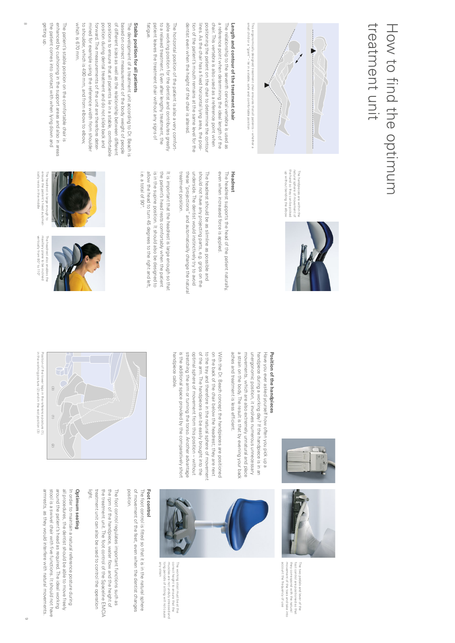## treatment unit How to find the optimum treatment unit How to find the optimum



The handpieces are within the matural sphere of movement of<br>natural sphere of movement of<br>the hand so they can be picked<br>up without bending the elbow the hand so they can be picked natural sphere of movement of The handpieces are within the up without bending the elbow



Headrest **Headrest**

**Length and contour of the treatment chair**

Length and contour of the treatment chair

small child or a "giant" – lie in a stable, safe and comfortable position This ergonomically designed treatment chair ensures that all patients – whether a

This ergonomically designed treatment chair ensures that all patients – whether a<br>small child or a "glant" – lie in a stable, safe and comfortable position

even when increased torce is applied. even when increased force is applied. The headrest supports the head of the patient naturally The headrest supports the head of the patient naturally,

treatment position. underside. The dentist would instinctively try to avoid should not have any projecting parts, e.g. grips on the treatment position. these "projections" and automatically change the natural these "projections" and automatically change the natural underside. The dentist would instinctively try to avoid should not have any projecting parts, e.g. grips on the The headrest should be as slimline as possible and The headrest should be as slimline as possible and

lines. As the chair has a fi

positioning the patient on the chair to determine the contour chair. This vertebra is also used as a reference point when a reference point when determining the ideal length of the The relationship to the seventh cervical vertebra is used as

a reference point when determining the ideal length of the

xed horizontal lying area, the posi-

lines. As the chair has a fixed horizontal lying area, the posipositioning the patient on the chair to determine the contou chair. Ihis vertebra is also used as a reference point when Ine relationship to the seventh cervical vertebra is used as

tion of the patient's mouth remains at the same level for the<br>dentist even when the height of the chair is altered.<br>The horizontal position of the patient is also a very comfort-<br>The horizontal position for the dentist and

i.e. a total of 90°. allow the head to turn 45 degrees to the right and left is in the supine position. It should also be designed to the patient's head rests comfortably when the patient It is important that the headrest is large enough so that i.e. a total of 90°. allow the head to turn 45 degrees to the right and left, is in the supine position. It should also be designed to the patient's head rests comfortably when the patient It is important that the headrest is large enough so that



positions to ensure that all patients lie in a stable, comforta of different sizes as well as the relationship between different based on correct measurement of the body weight of people The development of a treatment unit according to Dr. Beach is

to shoulder, which is 490 mm, and from el

to shoulder, which is 490 mm, and from elbow to elbow forward. The measurements of the unit are therefore deterposition during dental treatment and do not slide back and of different sizes as well as the relationship between different based on correct measurement of the body weight of people

which is 670 mm.

which is 670 mm.

enhanced by cushioning in the support areas and also in areas The patient's stable position on the comfortable chair is

The patient's stable position on the comfortable chair is

the patient comes into contact with when lying down and

the patient comes into contact with when lying down and

hanced by cushioning in the support areas and also in are as

bow to elbow,

mined for example using the reference width from shoulder forward. The measurements of the unit are therefore deterposition during dental treatment and do not slide back and

mined tor example using the reterence width trom shoulder

positions to ensure that all patients lie in a stable, comfortable

**Stable position for all patients**

Stable position for all patients

The development of a treatment unit according to Dr. Beach is

fatigue.

patient leaves the treatment chair without any signs of to a relaxed treatment. Even after lengthy treatment, the

patient leaves the treatment chair without any signs of to a relaxed treatment. Even after lengthy treatment, the

ensure the patient's healen ically rests in the middle ensure the patient's head automa The headrest is large enough to The headrest is large enough to



maxillary plane to be inclin<br>vertically from 80° to 110° vertically from 80° to 110° maxillary plane to be inclined







a strain on the body. The result is that by evening your bac aches and treatment is less efficient. movements, which are also extremely unnatural and place unergonomic position, it involves numerous unnecessary handpiece during a working day? If the handpiece is in an aches and treatment is less effi a strain on the body. The result is that by evening your back movements, which are also extremely unnatural and place unergonomic position, it involves numerous unnecessary Have you ever asked yourself how often you pick up a Have you ever asked yourself how often you pick up a piece during a working day? If the handpiece is in an

optimal sphere of movement from this position - without of the arm. The handpieces can be easily brought into the handplece cable. is the additional space provided by the comparatively short stretching the arm or turning the torso. Another advantage to the tray and therefore in the natural sphere of movement on the back of the chair below the headrest; they are next With the Dr. Beach concept the handpieces are positioned handpiece cable. is the additional space provided by the comparatively short stretching the arm or turning the torso. Another advantage optimal sphere of movement from this position – without of the arm. The handpieces can be easily brought into the to the tray and therefore in the natural sphere of movement on the back of the chair below the headrest; they are next With the Dr. Beach concept the handpieces are positioned



Position of the lower legs in the reference posture (1),<br>in the working posture (2) and in the rest position (3) in the working posture (2) and in the rest position (3)



The working stool must be at the correct height to ensure that the<br>correct height to ensure that the<br>muscles are not unduly stressed and<br>long periods of sitting will not cause correct height to ensure that the The working stool must be at the cles are not unduly stressed and any strain long periods of sitting will not cause

#### Foot control **Foot control**

of movement of the feet, even when the dentist changes position. The foot control is fitted so that it is in the natural sphere of movement of the feet, even when the dentist changes The foot control is fi tted so that it is in the natural sphere

light. the treatment unit. The foot control of the Spaceline EMCIA treatment unit can also be used to control the operation the rpm of the handpiece, water flow and the height of The foot control regulates important functions such as treatment unit can also be used to control the operation the treatment unit. The foot control of the Spaceline EMCIA the rpm of the handpiece, water fl The foot control regulates important functions such as ow and the height of

#### **Uptimum** seating **Optimum seating**

armrests, as they would interfere with natural movements. stool is a swivel chair with five functions. It should not have around the patient's head as required. The ideal working all procedures, the dentist should be able to move freely In order to maintain a natural reference posture during armrests, as they would interfere with natural movements. stool is a swivel chair with fi around the patient's head as required. The ideal working all procedures, the dentist should be able to move freely In order to maintain a natural reference posture during ve functions. It should not have



getting up.

Germg up.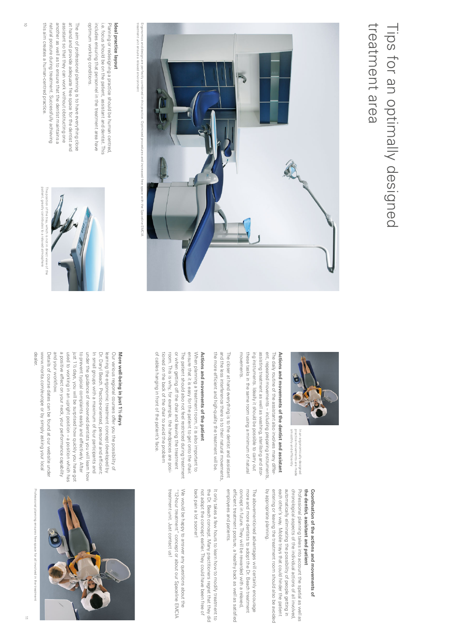# treatment area Tips for an optimally designed Tips for an optimally designed treatment area



Ergonomics and design are perfectly combined in this practice. Optimised procedures<br>treatment unit ensure a relaxed environment treatment unit ensure a relaxed environment Ergonomics and design are perfectly combined in this practice. Optimised procedures and increased free space with the Spaceline EMCIA Spaceline EMCI/

#### Ideal practice layout **Ideal practice layout**

optimum working conditions includes ensuring that personnel in the treatment area have i.e. focus should be on the patient, assistant and dentist. This Planning or redesigning a practice should be human centred optimum working conditions. includes ensuring that personnel in the treatment area have i.e. focus should be on the patient, assistant and dentist. This Planning or redesigning a practice should be human centred,

this aim creates a human-centred practice. natural posture during treatment. Successfully achieving another as well as to ensure that the dentist maintains a assistant so that they can work without obstructing one at hand and provide adequate free space for the dentist and The aim of professional planning is to have everything close this aim creates a human-centred practice. another as well as to ensure that the dentist maintains a assistant so that they can work without obstructing one at hand and provide adequate free space for the dentist and The aim of professional planning is to have everything close natural posture during treatment. Successfully achieving



patient, greatly contributes to a relaxed atmosphere



smoothly and efficiently In an ergonomically designed<br>practice movements are made smoothly and effi practice movements are made In an ergonomically designed

movements. these tasks in the same room using a minimum of natural ing instruments. Ideally it should be possible to carry out assisting treatment as well as washing, sterilising and storent, repeated movements - including preparing instruments movements. these tasks in the same room using a minimum of natural assisting treatment as well as washing, sterilising and storent, repeated movements – including preparing instruments, The daily routine of the assistant also involves many differ-The daily routine of the assistant also involves many differ-Actions and movements of the dentist and assistant **Actions and movements of the dentist and assistant** struments. Ideally it should be possible to carry out

the more efficient and high-quality the treatment will be. and the less interference there is to their natural movements The closer at hand everything is to the dentist and assistant the more effi and the less interference there is to their natural movements, The closer at hand everything is to the dentist and assis cient and high-quality the treatment will be.

## Actions and movements of the patient **Actions and movements of the patient**

of cables hanging in front of the patient's face tioned on the back of the chair to avoid the problem room. This is why, for example, the handpieces are posior when getting off the chair and leaving the treatment When planning a treatment room, it is also important to of cables hanging in front of the patient's face. tioned on the back of the chair to avoid the problem room. This is why, for example, the handpieces are posior when getting off the chair and leaving the treatment The patient should also not feel restricted during treatment The patient should also not feel restricted during treatment ensure that it is easy for the patient to get onto the chair When planning a treatment room, it is also important to sure that it is easy for the patient to get onto the chair.

### the dentist, assistant and patient Coordination of the actions and movements of **Coordination of the actions and movements of**

by appropriate planning. entering or leaving the treatment room should also be avoided each other's way. Mobile trays that could hinder the patient automatically eliminating the possibility of people getting in chronological aspects of the individual actions of all involved, Professional planning takes into account the spatial as well as **the dentist, assistant and patient** by appropriate planning. entering or leaving the treatment room should also be avoided each other's way. Mobile trays that could hinder the patient automatically eliminating the possibility of people getting in chronological aspects of the individual actions of all in Professional planning takes into account the spatial as well as

employees and patients. more and more dentists to adopt the Dr. Beach treatment efficient treatment posture, a healthy back as well as satisfied concept in future. They will be rewarded with a relaxed, Ihe abovementioned advantages will certainly encourage employees and patients. concept in future. They will be rewarded with a relaxed, more and more dentists to adopt the Dr. Beach treatment The abovementioned advantages will certainly encourage fi cient treatment posture, a healthy back as well as satisfi ed

It only takes a few hours to learn how to modify treatment to back pain a lot sooner! not adopt the concept earlier. They could have been free of the Dr. Beach concept. Many practitioners regret that they did back pain a lot sooner! not adopt the concept earlier. They could have been free of the Dr. Beach concept. Many practitioners regret that they did It only takes a few hours to learn how to modify treatment to

treatment unit. Just contact us! We would be happy to answer any questions about the treatment unit. Just contact us! "12-hour treatment" concept or about our Spaceline EMCIA "12-hour treatment" concept or about our Spaceline EMCIA We would be happy to answer any questions about the

### **More well-being in just 1 ½ days**

and your workflow. a positive effect on your neck, your performance capability used to working in an upright position - a position which has to prevent typical complaints easily and effectively. After under the guidance of renowned dentists you will learn how In small groups with a maximum of four participants and Dr. Daryl Beach. Practice-oriented, personal and efficient learning the ergonomic treatment concept developed by Our various regional courses offer you the possibility of and your workfl a positive effect on your neck, your performance capability used to working in an upright position – a position which has just 1 ½to prevent typical complaints easily and effectively. After under the guidance of renowned dentists you will learn how In small groups with a maximum of four participants and Dr. Daryl Beach. Practice-oriented, personal and effi learning the ergonomic treatment concept developed by Our various regional courses offer you the possibility of days, you will be surprised how quickly you have got

dealer. www.morita.com/europe or by simply asking your local Details of course dates can be found at our website under www.morita.com/europe or by simply asking your local Details of course dates can be found at our website under



Professional planning ensures free space for all involved in the treatment Professional planning ensures free space for all involved in the treatment